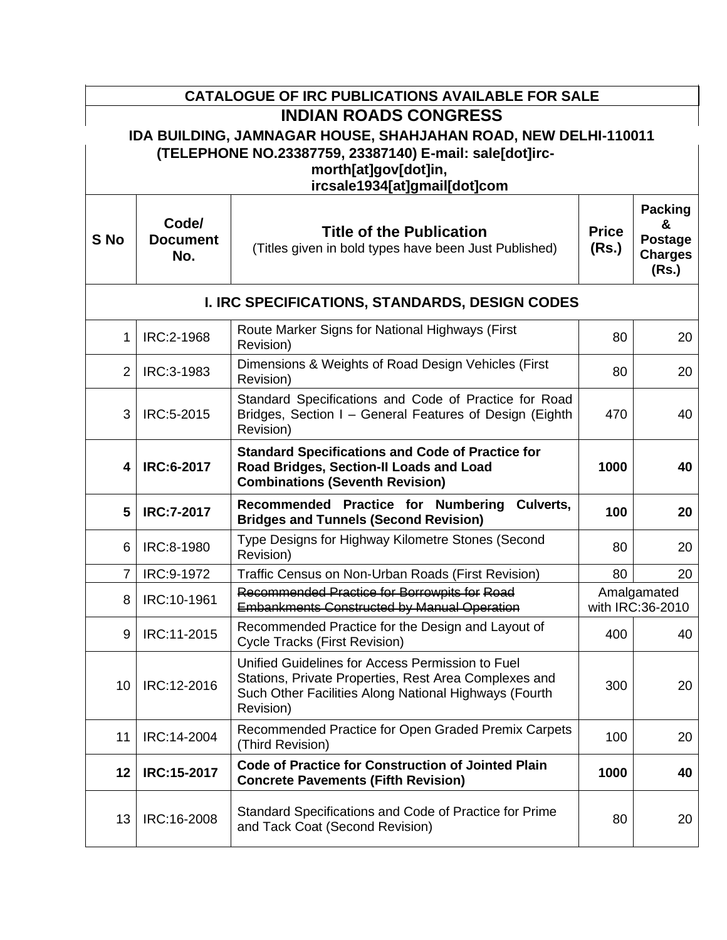|                         |                                 | <b>CATALOGUE OF IRC PUBLICATIONS AVAILABLE FOR SALE</b>                                                                                                                         |                       |                                                                  |  |  |
|-------------------------|---------------------------------|---------------------------------------------------------------------------------------------------------------------------------------------------------------------------------|-----------------------|------------------------------------------------------------------|--|--|
|                         |                                 | <b>INDIAN ROADS CONGRESS</b>                                                                                                                                                    |                       |                                                                  |  |  |
|                         |                                 | IDA BUILDING, JAMNAGAR HOUSE, SHAHJAHAN ROAD, NEW DELHI-110011<br>(TELEPHONE NO.23387759, 23387140) E-mail: sale[dot]irc-<br>morth[at]gov[dot]in,                               |                       |                                                                  |  |  |
|                         | ircsale1934[at]gmail[dot]com    |                                                                                                                                                                                 |                       |                                                                  |  |  |
| S No                    | Code/<br><b>Document</b><br>No. | <b>Title of the Publication</b><br>(Titles given in bold types have been Just Published)                                                                                        | <b>Price</b><br>(Rs.) | <b>Packing</b><br>&<br><b>Postage</b><br><b>Charges</b><br>(Rs.) |  |  |
|                         |                                 | I. IRC SPECIFICATIONS, STANDARDS, DESIGN CODES                                                                                                                                  |                       |                                                                  |  |  |
| 1                       | IRC:2-1968                      | Route Marker Signs for National Highways (First<br>Revision)                                                                                                                    | 80                    | 20                                                               |  |  |
| $\overline{2}$          | IRC:3-1983                      | Dimensions & Weights of Road Design Vehicles (First<br>Revision)                                                                                                                | 80                    | 20                                                               |  |  |
| 3                       | IRC:5-2015                      | Standard Specifications and Code of Practice for Road<br>Bridges, Section I - General Features of Design (Eighth<br>Revision)                                                   | 470                   | 40                                                               |  |  |
| $\overline{\mathbf{4}}$ | <b>IRC:6-2017</b>               | <b>Standard Specifications and Code of Practice for</b><br>Road Bridges, Section-II Loads and Load<br><b>Combinations (Seventh Revision)</b>                                    | 1000                  | 40                                                               |  |  |
| 5                       | <b>IRC:7-2017</b>               | Recommended Practice for Numbering<br>Culverts,<br><b>Bridges and Tunnels (Second Revision)</b>                                                                                 | 100                   | 20                                                               |  |  |
| 6                       | IRC:8-1980                      | Type Designs for Highway Kilometre Stones (Second<br>Revision)                                                                                                                  | 80                    | 20                                                               |  |  |
| $\overline{7}$          | IRC:9-1972                      | Traffic Census on Non-Urban Roads (First Revision)                                                                                                                              | 80                    | 20                                                               |  |  |
| 8                       | IRC:10-1961                     | Recommended Practice for Borrowpits for Road<br><b>Embankments Constructed by Manual Operation</b>                                                                              |                       | Amalgamated<br>with IRC:36-2010                                  |  |  |
| 9                       | IRC:11-2015                     | Recommended Practice for the Design and Layout of<br><b>Cycle Tracks (First Revision)</b>                                                                                       | 400                   | 40                                                               |  |  |
| 10                      | IRC:12-2016                     | Unified Guidelines for Access Permission to Fuel<br>Stations, Private Properties, Rest Area Complexes and<br>Such Other Facilities Along National Highways (Fourth<br>Revision) | 300                   | 20                                                               |  |  |
| 11                      | IRC:14-2004                     | Recommended Practice for Open Graded Premix Carpets<br>(Third Revision)                                                                                                         | 100                   | 20                                                               |  |  |
| 12                      | IRC:15-2017                     | <b>Code of Practice for Construction of Jointed Plain</b><br><b>Concrete Pavements (Fifth Revision)</b>                                                                         | 1000                  | 40                                                               |  |  |
| 13                      | IRC:16-2008                     | Standard Specifications and Code of Practice for Prime<br>and Tack Coat (Second Revision)                                                                                       | 80                    | 20                                                               |  |  |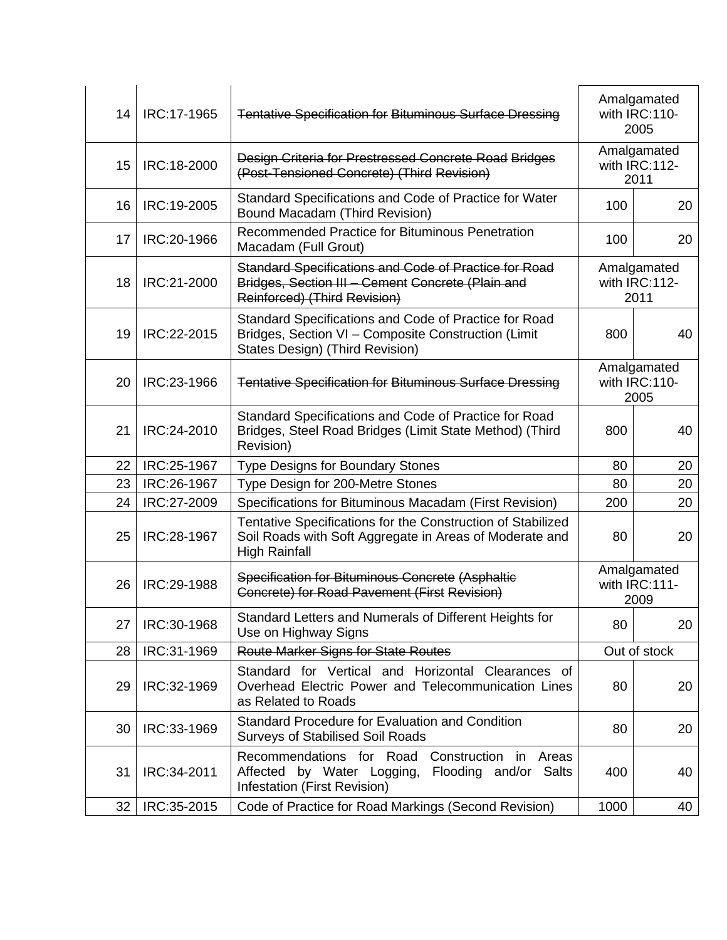| 14              | IRC:17-1965 | <b>Tentative Specification for Bituminous Surface Dressing</b>                                                                                  |      | Amalgamated<br>with IRC:110-<br>2005 |
|-----------------|-------------|-------------------------------------------------------------------------------------------------------------------------------------------------|------|--------------------------------------|
| 15              | IRC:18-2000 | Design Criteria for Prestressed Concrete Road Bridges<br>(Post-Tensioned Concrete) (Third Revision)                                             |      | Amalgamated<br>with IRC:112-<br>2011 |
| 16              | IRC:19-2005 | Standard Specifications and Code of Practice for Water<br><b>Bound Macadam (Third Revision)</b>                                                 | 100  | 20                                   |
| 17              | IRC:20-1966 | Recommended Practice for Bituminous Penetration<br>Macadam (Full Grout)                                                                         | 100  | 20                                   |
| 18              | IRC:21-2000 | Standard Specifications and Code of Practice for Road<br>Bridges, Section III - Cement Concrete (Plain and<br>Reinforced) (Third Revision)      |      | Amalgamated<br>with IRC:112-<br>2011 |
| 19              | IRC:22-2015 | Standard Specifications and Code of Practice for Road<br>Bridges, Section VI - Composite Construction (Limit<br>States Design) (Third Revision) | 800  | 40                                   |
| 20              | IRC:23-1966 | <b>Tentative Specification for Bituminous Surface Dressing</b>                                                                                  |      | Amalgamated<br>with IRC:110-<br>2005 |
| 21              | IRC:24-2010 | Standard Specifications and Code of Practice for Road<br>Bridges, Steel Road Bridges (Limit State Method) (Third<br>Revision)                   | 800  | 40                                   |
| 22              | IRC:25-1967 | <b>Type Designs for Boundary Stones</b>                                                                                                         | 80   | 20                                   |
| 23              | IRC:26-1967 | Type Design for 200-Metre Stones                                                                                                                | 80   | 20                                   |
| 24              | IRC:27-2009 | Specifications for Bituminous Macadam (First Revision)                                                                                          | 200  | 20                                   |
| 25              | IRC:28-1967 | Tentative Specifications for the Construction of Stabilized<br>Soil Roads with Soft Aggregate in Areas of Moderate and<br><b>High Rainfall</b>  | 80   | 20                                   |
| 26              | IRC:29-1988 | Specification for Bituminous Concrete (Asphaltic<br>Concrete) for Road Pavement (First Revision)                                                |      | Amalgamated<br>with IRC:111-<br>2009 |
| 27              | IRC:30-1968 | Standard Letters and Numerals of Different Heights for<br>Use on Highway Signs                                                                  | 80   | 20                                   |
| 28              | IRC:31-1969 | Route Marker Signs for State Routes                                                                                                             |      | Out of stock                         |
| 29              | IRC:32-1969 | Standard for Vertical and Horizontal Clearances of<br>Overhead Electric Power and Telecommunication Lines<br>as Related to Roads                | 80   | 20                                   |
| 30              | IRC:33-1969 | Standard Procedure for Evaluation and Condition<br><b>Surveys of Stabilised Soil Roads</b>                                                      | 80   | 20                                   |
| 31              | IRC:34-2011 | Recommendations for Road Construction in Areas<br>Affected by Water Logging, Flooding and/or Salts<br>Infestation (First Revision)              | 400  | 40                                   |
| 32 <sup>2</sup> | IRC:35-2015 | Code of Practice for Road Markings (Second Revision)                                                                                            | 1000 | 40                                   |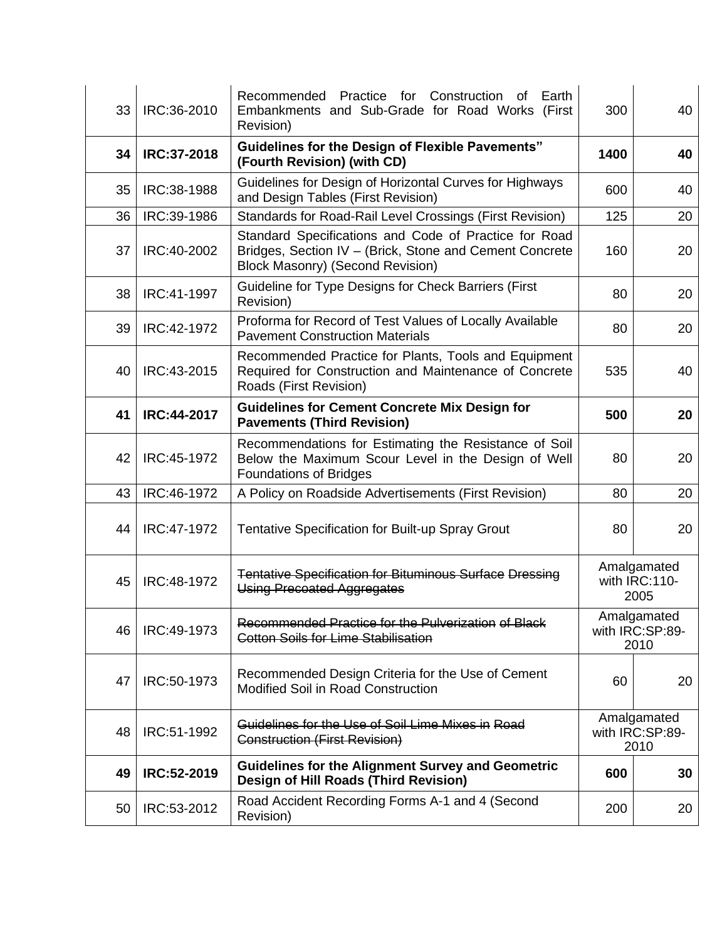| 33 | IRC:36-2010 | Recommended Practice for Construction of<br>Earth<br>Embankments and Sub-Grade for Road Works (First<br>Revision)                                           | 300  | 40                                     |  |
|----|-------------|-------------------------------------------------------------------------------------------------------------------------------------------------------------|------|----------------------------------------|--|
| 34 | IRC:37-2018 | <b>Guidelines for the Design of Flexible Pavements"</b><br>(Fourth Revision) (with CD)                                                                      | 1400 | 40                                     |  |
| 35 | IRC:38-1988 | Guidelines for Design of Horizontal Curves for Highways<br>and Design Tables (First Revision)                                                               | 600  | 40                                     |  |
| 36 | IRC:39-1986 | Standards for Road-Rail Level Crossings (First Revision)                                                                                                    | 125  | 20                                     |  |
| 37 | IRC:40-2002 | Standard Specifications and Code of Practice for Road<br>Bridges, Section IV - (Brick, Stone and Cement Concrete<br><b>Block Masonry) (Second Revision)</b> | 160  | 20                                     |  |
| 38 | IRC:41-1997 | Guideline for Type Designs for Check Barriers (First<br>Revision)                                                                                           | 80   | 20                                     |  |
| 39 | IRC:42-1972 | Proforma for Record of Test Values of Locally Available<br><b>Pavement Construction Materials</b>                                                           | 80   | 20                                     |  |
| 40 | IRC:43-2015 | Recommended Practice for Plants, Tools and Equipment<br>Required for Construction and Maintenance of Concrete<br>Roads (First Revision)                     | 535  | 40                                     |  |
| 41 | IRC:44-2017 | <b>Guidelines for Cement Concrete Mix Design for</b><br><b>Pavements (Third Revision)</b>                                                                   | 500  | 20                                     |  |
| 42 | IRC:45-1972 | Recommendations for Estimating the Resistance of Soil<br>Below the Maximum Scour Level in the Design of Well<br><b>Foundations of Bridges</b>               | 80   | 20                                     |  |
| 43 | IRC:46-1972 | A Policy on Roadside Advertisements (First Revision)                                                                                                        | 80   | 20                                     |  |
| 44 | IRC:47-1972 | Tentative Specification for Built-up Spray Grout                                                                                                            | 80   | 20                                     |  |
| 45 | IRC:48-1972 | <b>Tentative Specification for Bituminous Surface Dressing</b><br>Using Precoated Aggregates                                                                |      | Amalgamated<br>with IRC:110-<br>2005   |  |
| 46 | IRC:49-1973 | Recommended Practice for the Pulverization of Black<br><b>Cotton Soils for Lime Stabilisation</b>                                                           |      | Amalgamated<br>with IRC:SP:89-<br>2010 |  |
| 47 | IRC:50-1973 | Recommended Design Criteria for the Use of Cement<br>Modified Soil in Road Construction                                                                     | 60   | 20                                     |  |
| 48 | IRC:51-1992 | Guidelines for the Use of Soil Lime Mixes in Road<br>Construction (First Revision)                                                                          |      | Amalgamated<br>with IRC:SP:89-<br>2010 |  |
| 49 | IRC:52-2019 | <b>Guidelines for the Alignment Survey and Geometric</b><br>Design of Hill Roads (Third Revision)                                                           | 600  | 30                                     |  |
| 50 | IRC:53-2012 | Road Accident Recording Forms A-1 and 4 (Second<br>Revision)                                                                                                | 200  | 20                                     |  |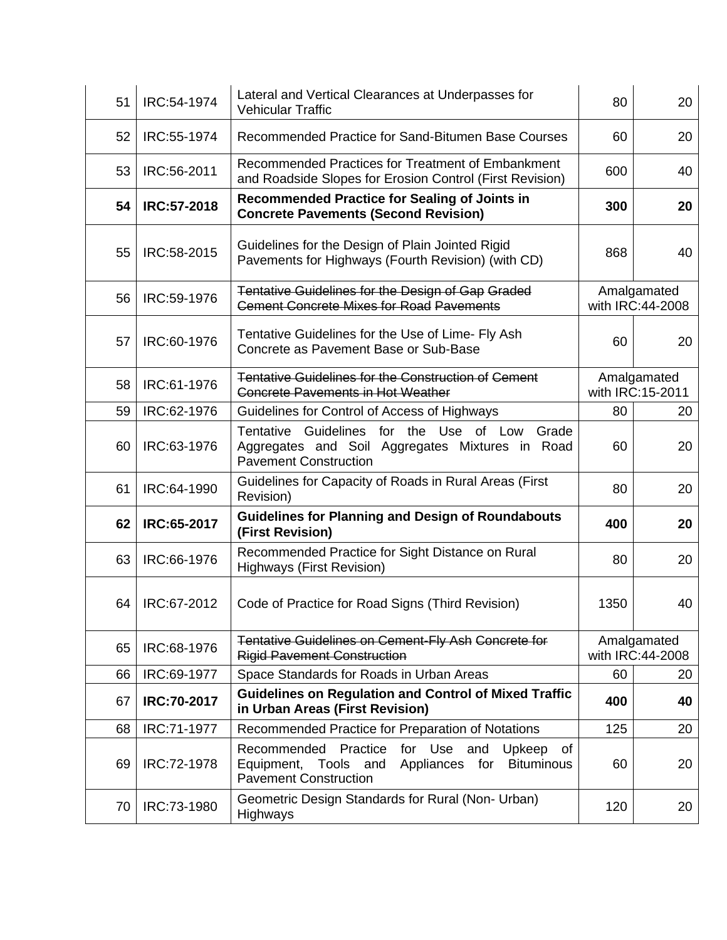| 51 | IRC:54-1974 | Lateral and Vertical Clearances at Underpasses for<br><b>Vehicular Traffic</b>                                                                              | 80   | 20                              |
|----|-------------|-------------------------------------------------------------------------------------------------------------------------------------------------------------|------|---------------------------------|
| 52 | IRC:55-1974 | Recommended Practice for Sand-Bitumen Base Courses                                                                                                          | 60   | 20                              |
| 53 | IRC:56-2011 | Recommended Practices for Treatment of Embankment<br>and Roadside Slopes for Erosion Control (First Revision)                                               | 600  | 40                              |
| 54 | IRC:57-2018 | <b>Recommended Practice for Sealing of Joints in</b><br><b>Concrete Pavements (Second Revision)</b>                                                         | 300  | 20                              |
| 55 | IRC:58-2015 | Guidelines for the Design of Plain Jointed Rigid<br>Pavements for Highways (Fourth Revision) (with CD)                                                      | 868  | 40                              |
| 56 | IRC:59-1976 | Tentative Guidelines for the Design of Gap Graded<br><b>Cement Concrete Mixes for Road Pavements</b>                                                        |      | Amalgamated<br>with IRC:44-2008 |
| 57 | IRC:60-1976 | Tentative Guidelines for the Use of Lime- Fly Ash<br>Concrete as Pavement Base or Sub-Base                                                                  | 60   | 20                              |
| 58 | IRC:61-1976 | <b>Tentative Guidelines for the Construction of Cement</b><br><b>Concrete Pavements in Hot Weather</b>                                                      |      | Amalgamated<br>with IRC:15-2011 |
| 59 | IRC:62-1976 | Guidelines for Control of Access of Highways                                                                                                                | 80   | 20                              |
| 60 | IRC:63-1976 | Tentative Guidelines for the Use of Low<br>Grade<br>Aggregates and Soil Aggregates Mixtures in Road<br><b>Pavement Construction</b>                         | 60   | 20                              |
| 61 | IRC:64-1990 | Guidelines for Capacity of Roads in Rural Areas (First<br>Revision)                                                                                         | 80   | 20                              |
| 62 | IRC:65-2017 | <b>Guidelines for Planning and Design of Roundabouts</b><br>(First Revision)                                                                                | 400  | 20                              |
| 63 | IRC:66-1976 | Recommended Practice for Sight Distance on Rural<br><b>Highways (First Revision)</b>                                                                        | 80   | 20                              |
| 64 | IRC:67-2012 | Code of Practice for Road Signs (Third Revision)                                                                                                            | 1350 | 40                              |
| 65 | IRC:68-1976 | Tentative Guidelines on Cement-Fly Ash Concrete for<br><b>Rigid Pavement Construction</b>                                                                   |      | Amalgamated<br>with IRC:44-2008 |
| 66 | IRC:69-1977 | Space Standards for Roads in Urban Areas                                                                                                                    | 60   | 20                              |
| 67 | IRC:70-2017 | <b>Guidelines on Regulation and Control of Mixed Traffic</b><br>in Urban Areas (First Revision)                                                             | 400  | 40                              |
| 68 | IRC:71-1977 | Recommended Practice for Preparation of Notations                                                                                                           | 125  | 20                              |
| 69 | IRC:72-1978 | Recommended<br>Practice<br>for Use<br>and<br>Upkeep<br>of<br>Appliances for<br><b>Bituminous</b><br>Equipment,<br>Tools and<br><b>Pavement Construction</b> | 60   | 20                              |
| 70 | IRC:73-1980 | Geometric Design Standards for Rural (Non- Urban)<br>Highways                                                                                               | 120  | 20                              |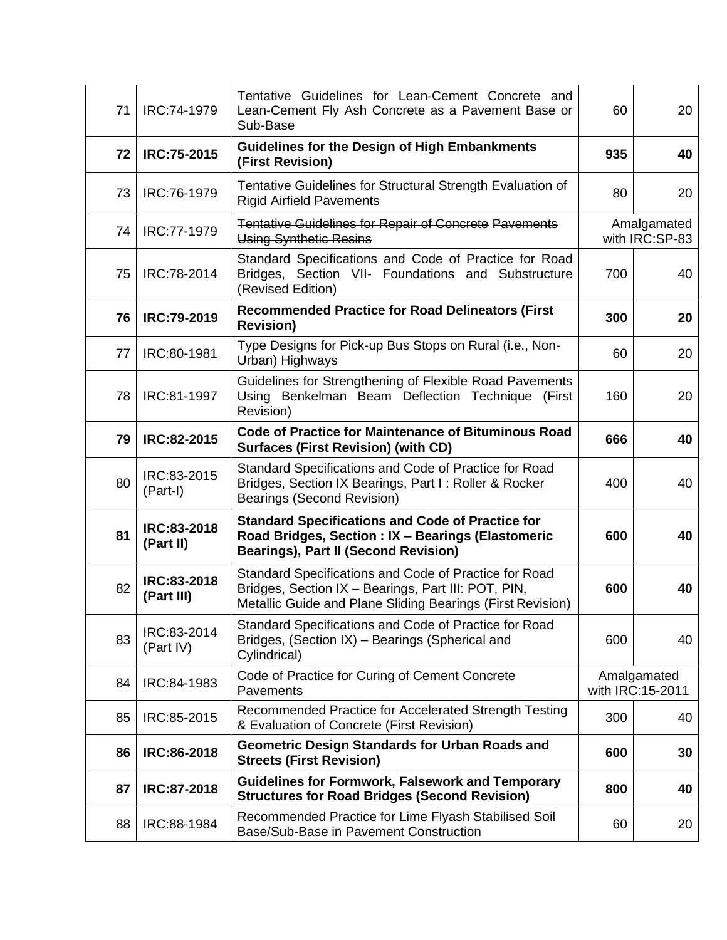| 71 | IRC:74-1979               | Tentative Guidelines for Lean-Cement Concrete and<br>Lean-Cement Fly Ash Concrete as a Pavement Base or<br>Sub-Base                                                        | 60  | 20                              |
|----|---------------------------|----------------------------------------------------------------------------------------------------------------------------------------------------------------------------|-----|---------------------------------|
| 72 | <b>IRC:75-2015</b>        | <b>Guidelines for the Design of High Embankments</b><br>(First Revision)                                                                                                   | 935 | 40                              |
| 73 | IRC:76-1979               | Tentative Guidelines for Structural Strength Evaluation of<br><b>Rigid Airfield Pavements</b>                                                                              | 80  | 20                              |
| 74 | IRC:77-1979               | <b>Tentative Guidelines for Repair of Concrete Pavements</b><br><b>Using Synthetic Resins</b>                                                                              |     | Amalgamated<br>with IRC:SP-83   |
| 75 | IRC:78-2014               | Standard Specifications and Code of Practice for Road<br>Bridges, Section VII- Foundations and Substructure<br>(Revised Edition)                                           | 700 | 40                              |
| 76 | IRC:79-2019               | <b>Recommended Practice for Road Delineators (First</b><br><b>Revision)</b>                                                                                                | 300 | 20                              |
| 77 | IRC:80-1981               | Type Designs for Pick-up Bus Stops on Rural (i.e., Non-<br>Urban) Highways                                                                                                 | 60  | 20                              |
| 78 | IRC:81-1997               | Guidelines for Strengthening of Flexible Road Pavements<br>Using Benkelman Beam Deflection Technique (First<br>Revision)                                                   | 160 | 20                              |
| 79 | IRC:82-2015               | <b>Code of Practice for Maintenance of Bituminous Road</b><br><b>Surfaces (First Revision) (with CD)</b>                                                                   | 666 | 40                              |
| 80 | IRC:83-2015<br>(Part-I)   | Standard Specifications and Code of Practice for Road<br>Bridges, Section IX Bearings, Part I: Roller & Rocker<br>Bearings (Second Revision)                               | 400 | 40                              |
| 81 | IRC:83-2018<br>(Part II)  | <b>Standard Specifications and Code of Practice for</b><br>Road Bridges, Section : IX - Bearings (Elastomeric<br><b>Bearings), Part II (Second Revision)</b>               | 600 | 40                              |
| 82 | IRC:83-2018<br>(Part III) | Standard Specifications and Code of Practice for Road<br>Bridges, Section IX - Bearings, Part III: POT, PIN,<br>Metallic Guide and Plane Sliding Bearings (First Revision) | 600 | 40                              |
| 83 | IRC:83-2014<br>(Part IV)  | Standard Specifications and Code of Practice for Road<br>Bridges, (Section IX) - Bearings (Spherical and<br>Cylindrical)                                                   | 600 | 40                              |
| 84 | IRC:84-1983               | Code of Practice for Curing of Cement Concrete<br><b>Pavements</b>                                                                                                         |     | Amalgamated<br>with IRC:15-2011 |
| 85 | IRC:85-2015               | Recommended Practice for Accelerated Strength Testing<br>& Evaluation of Concrete (First Revision)                                                                         | 300 | 40                              |
| 86 | IRC:86-2018               | <b>Geometric Design Standards for Urban Roads and</b><br><b>Streets (First Revision)</b>                                                                                   | 600 | 30                              |
| 87 | IRC:87-2018               | <b>Guidelines for Formwork, Falsework and Temporary</b><br><b>Structures for Road Bridges (Second Revision)</b>                                                            | 800 | 40                              |
| 88 | IRC:88-1984               | Recommended Practice for Lime Flyash Stabilised Soil<br>Base/Sub-Base in Pavement Construction                                                                             | 60  | 20                              |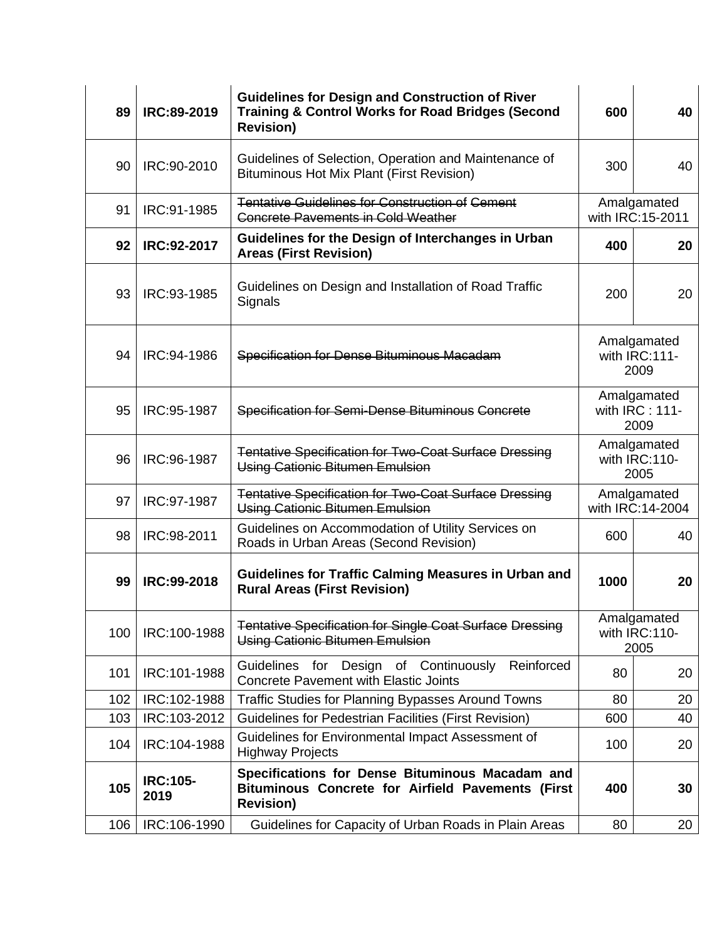| 89  | IRC:89-2019             | <b>Guidelines for Design and Construction of River</b><br><b>Training &amp; Control Works for Road Bridges (Second</b><br><b>Revision)</b> | 600                                   | 40                                   |
|-----|-------------------------|--------------------------------------------------------------------------------------------------------------------------------------------|---------------------------------------|--------------------------------------|
| 90  | IRC:90-2010             | Guidelines of Selection, Operation and Maintenance of<br><b>Bituminous Hot Mix Plant (First Revision)</b>                                  | 300                                   | 40                                   |
| 91  | IRC:91-1985             | <b>Tentative Guidelines for Construction of Cement</b><br><b>Concrete Pavements in Cold Weather</b>                                        |                                       | Amalgamated<br>with IRC:15-2011      |
| 92  | IRC:92-2017             | Guidelines for the Design of Interchanges in Urban<br><b>Areas (First Revision)</b>                                                        | 400                                   | 20                                   |
| 93  | IRC:93-1985             | Guidelines on Design and Installation of Road Traffic<br>Signals                                                                           | 200                                   | 20                                   |
| 94  | IRC:94-1986             | Specification for Dense Bituminous Macadam                                                                                                 | Amalgamated<br>with IRC:111-<br>2009  |                                      |
| 95  | IRC:95-1987             | Specification for Semi-Dense Bituminous Concrete                                                                                           | Amalgamated<br>with IRC: 111-<br>2009 |                                      |
| 96  | IRC:96-1987             | Tentative Specification for Two-Coat Surface Dressing<br>Using Cationic Bitumen Emulsion                                                   | Amalgamated<br>with IRC:110-<br>2005  |                                      |
| 97  | IRC:97-1987             | Tentative Specification for Two-Coat Surface Dressing<br>Using Cationic Bitumen Emulsion                                                   |                                       | Amalgamated<br>with IRC:14-2004      |
| 98  | IRC:98-2011             | Guidelines on Accommodation of Utility Services on<br>Roads in Urban Areas (Second Revision)                                               | 600                                   | 40                                   |
| 99  | IRC:99-2018             | <b>Guidelines for Traffic Calming Measures in Urban and</b><br><b>Rural Areas (First Revision)</b>                                         | 1000                                  | 20                                   |
| 100 | IRC:100-1988            | <b>Tentative Specification for Single Coat Surface Dressing</b><br><b>Using Cationic Bitumen Emulsion</b>                                  |                                       | Amalgamated<br>with IRC:110-<br>2005 |
| 101 | IRC:101-1988            | Guidelines for Design of Continuously<br>Reinforced<br><b>Concrete Pavement with Elastic Joints</b>                                        | 80                                    | 20                                   |
| 102 | IRC:102-1988            | <b>Traffic Studies for Planning Bypasses Around Towns</b>                                                                                  | 80                                    | 20                                   |
| 103 | IRC:103-2012            | Guidelines for Pedestrian Facilities (First Revision)                                                                                      | 600                                   | 40                                   |
| 104 | IRC:104-1988            | Guidelines for Environmental Impact Assessment of<br><b>Highway Projects</b>                                                               | 100                                   | 20                                   |
| 105 | <b>IRC:105-</b><br>2019 | Specifications for Dense Bituminous Macadam and<br><b>Bituminous Concrete for Airfield Pavements (First</b><br><b>Revision)</b>            | 400                                   | 30                                   |
| 106 | IRC:106-1990            | Guidelines for Capacity of Urban Roads in Plain Areas                                                                                      | 80                                    | 20                                   |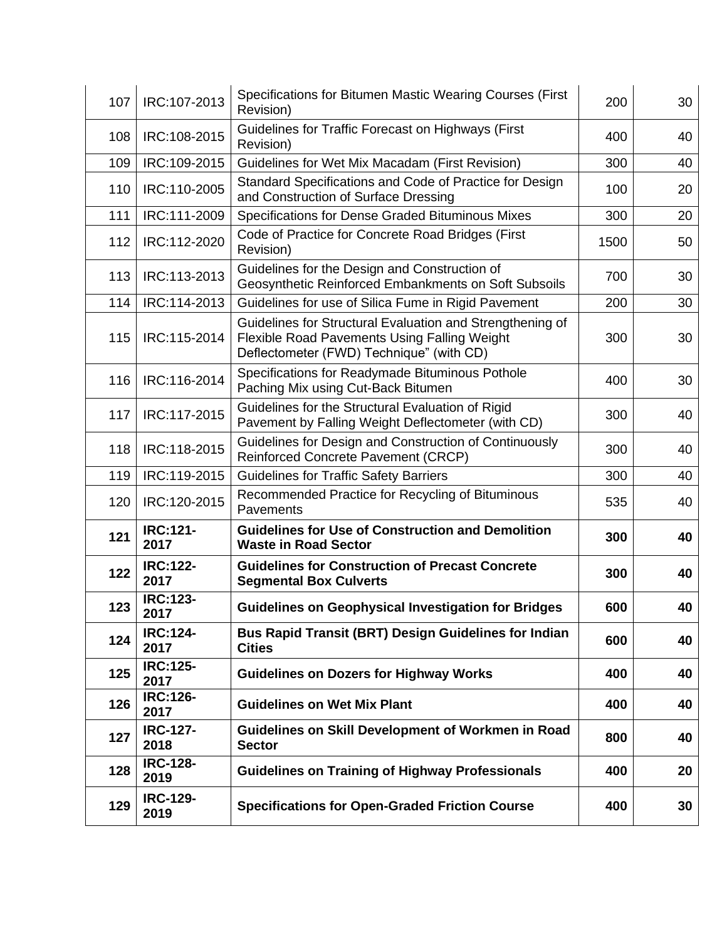| 107 | IRC:107-2013            | Specifications for Bitumen Mastic Wearing Courses (First<br>Revision)                                                                                        | 200  | 30 |
|-----|-------------------------|--------------------------------------------------------------------------------------------------------------------------------------------------------------|------|----|
| 108 | IRC:108-2015            | Guidelines for Traffic Forecast on Highways (First<br>Revision)                                                                                              | 400  | 40 |
| 109 | IRC:109-2015            | Guidelines for Wet Mix Macadam (First Revision)                                                                                                              | 300  | 40 |
| 110 | IRC:110-2005            | Standard Specifications and Code of Practice for Design<br>and Construction of Surface Dressing                                                              | 100  | 20 |
| 111 | IRC:111-2009            | Specifications for Dense Graded Bituminous Mixes                                                                                                             | 300  | 20 |
| 112 | IRC:112-2020            | Code of Practice for Concrete Road Bridges (First<br>Revision)                                                                                               | 1500 | 50 |
| 113 | IRC:113-2013            | Guidelines for the Design and Construction of<br>Geosynthetic Reinforced Embankments on Soft Subsoils                                                        | 700  | 30 |
| 114 | IRC:114-2013            | Guidelines for use of Silica Fume in Rigid Pavement                                                                                                          | 200  | 30 |
| 115 | IRC:115-2014            | Guidelines for Structural Evaluation and Strengthening of<br><b>Flexible Road Pavements Using Falling Weight</b><br>Deflectometer (FWD) Technique" (with CD) | 300  | 30 |
| 116 | IRC:116-2014            | Specifications for Readymade Bituminous Pothole<br>Paching Mix using Cut-Back Bitumen                                                                        | 400  | 30 |
| 117 | IRC:117-2015            | Guidelines for the Structural Evaluation of Rigid<br>Pavement by Falling Weight Deflectometer (with CD)                                                      | 300  | 40 |
| 118 | IRC:118-2015            | Guidelines for Design and Construction of Continuously<br>Reinforced Concrete Pavement (CRCP)                                                                | 300  | 40 |
| 119 | IRC:119-2015            | <b>Guidelines for Traffic Safety Barriers</b>                                                                                                                | 300  | 40 |
| 120 | IRC:120-2015            | Recommended Practice for Recycling of Bituminous<br>Pavements                                                                                                | 535  | 40 |
| 121 | <b>IRC:121-</b><br>2017 | <b>Guidelines for Use of Construction and Demolition</b><br><b>Waste in Road Sector</b>                                                                      | 300  | 40 |
| 122 | <b>IRC:122-</b><br>2017 | <b>Guidelines for Construction of Precast Concrete</b><br><b>Segmental Box Culverts</b>                                                                      | 300  | 40 |
| 123 | <b>IRC:123-</b><br>2017 | <b>Guidelines on Geophysical Investigation for Bridges</b>                                                                                                   | 600  | 40 |
| 124 | <b>IRC:124-</b><br>2017 | <b>Bus Rapid Transit (BRT) Design Guidelines for Indian</b><br><b>Cities</b>                                                                                 | 600  | 40 |
| 125 | <b>IRC:125-</b><br>2017 | <b>Guidelines on Dozers for Highway Works</b>                                                                                                                | 400  | 40 |
| 126 | <b>IRC:126-</b><br>2017 | <b>Guidelines on Wet Mix Plant</b>                                                                                                                           | 400  | 40 |
| 127 | <b>IRC-127-</b><br>2018 | Guidelines on Skill Development of Workmen in Road<br><b>Sector</b>                                                                                          | 800  | 40 |
| 128 | <b>IRC-128-</b><br>2019 | <b>Guidelines on Training of Highway Professionals</b>                                                                                                       | 400  | 20 |
| 129 | <b>IRC-129-</b><br>2019 | <b>Specifications for Open-Graded Friction Course</b>                                                                                                        | 400  | 30 |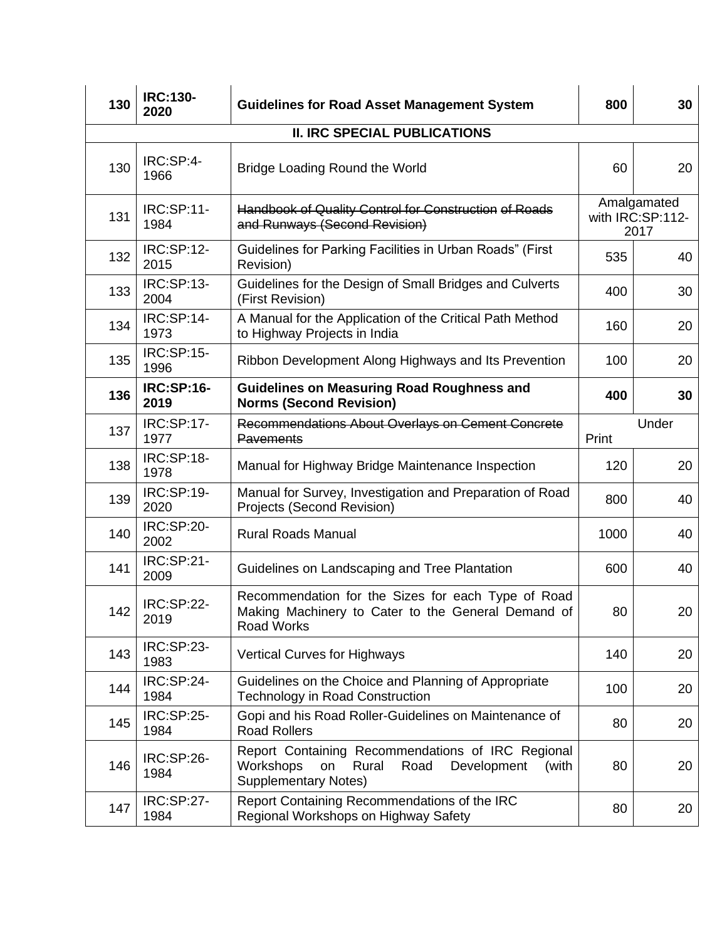| 130                                 | <b>IRC:130-</b><br>2020   | <b>Guidelines for Road Asset Management System</b>                                                                                           | 800   | 30                                      |  |  |  |
|-------------------------------------|---------------------------|----------------------------------------------------------------------------------------------------------------------------------------------|-------|-----------------------------------------|--|--|--|
| <b>II. IRC SPECIAL PUBLICATIONS</b> |                           |                                                                                                                                              |       |                                         |  |  |  |
| 130                                 | IRC:SP:4-<br>1966         | <b>Bridge Loading Round the World</b>                                                                                                        | 60    | 20                                      |  |  |  |
| 131                                 | <b>IRC:SP:11-</b><br>1984 | Handbook of Quality Control for Construction of Roads<br>and Runways (Second Revision)                                                       |       | Amalgamated<br>with IRC:SP:112-<br>2017 |  |  |  |
| 132                                 | <b>IRC:SP:12-</b><br>2015 | Guidelines for Parking Facilities in Urban Roads" (First<br>Revision)                                                                        | 535   | 40                                      |  |  |  |
| 133                                 | IRC:SP:13-<br>2004        | Guidelines for the Design of Small Bridges and Culverts<br>(First Revision)                                                                  | 400   | 30                                      |  |  |  |
| 134                                 | <b>IRC:SP:14-</b><br>1973 | A Manual for the Application of the Critical Path Method<br>to Highway Projects in India                                                     | 160   | 20                                      |  |  |  |
| 135                                 | IRC:SP:15-<br>1996        | Ribbon Development Along Highways and Its Prevention                                                                                         | 100   | 20                                      |  |  |  |
| 136                                 | <b>IRC:SP:16-</b><br>2019 | <b>Guidelines on Measuring Road Roughness and</b><br><b>Norms (Second Revision)</b>                                                          | 400   | 30                                      |  |  |  |
| 137                                 | <b>IRC:SP:17-</b><br>1977 | Recommendations About Overlays on Cement Concrete<br><b>Pavements</b>                                                                        | Print | Under                                   |  |  |  |
| 138                                 | <b>IRC:SP:18-</b><br>1978 | Manual for Highway Bridge Maintenance Inspection                                                                                             | 120   | 20                                      |  |  |  |
| 139                                 | IRC:SP:19-<br>2020        | Manual for Survey, Investigation and Preparation of Road<br>Projects (Second Revision)                                                       | 800   | 40                                      |  |  |  |
| 140                                 | <b>IRC:SP:20-</b><br>2002 | <b>Rural Roads Manual</b>                                                                                                                    | 1000  | 40                                      |  |  |  |
| 141                                 | <b>IRC:SP:21-</b><br>2009 | Guidelines on Landscaping and Tree Plantation                                                                                                | 600   | 40                                      |  |  |  |
| 142                                 | <b>IRC:SP:22-</b><br>2019 | Recommendation for the Sizes for each Type of Road<br>Making Machinery to Cater to the General Demand of<br>Road Works                       | 80    | 20                                      |  |  |  |
| 143                                 | <b>IRC:SP:23-</b><br>1983 | <b>Vertical Curves for Highways</b>                                                                                                          | 140   | 20                                      |  |  |  |
| 144                                 | <b>IRC:SP:24-</b><br>1984 | Guidelines on the Choice and Planning of Appropriate<br><b>Technology in Road Construction</b>                                               | 100   | 20                                      |  |  |  |
| 145                                 | <b>IRC:SP:25-</b><br>1984 | Gopi and his Road Roller-Guidelines on Maintenance of<br><b>Road Rollers</b>                                                                 | 80    | 20                                      |  |  |  |
| 146                                 | IRC:SP:26-<br>1984        | Report Containing Recommendations of IRC Regional<br>Workshops<br>Rural<br>Development<br>Road<br>on<br>(with<br><b>Supplementary Notes)</b> | 80    | 20                                      |  |  |  |
| 147                                 | <b>IRC:SP:27-</b><br>1984 | Report Containing Recommendations of the IRC<br>Regional Workshops on Highway Safety                                                         | 80    | 20                                      |  |  |  |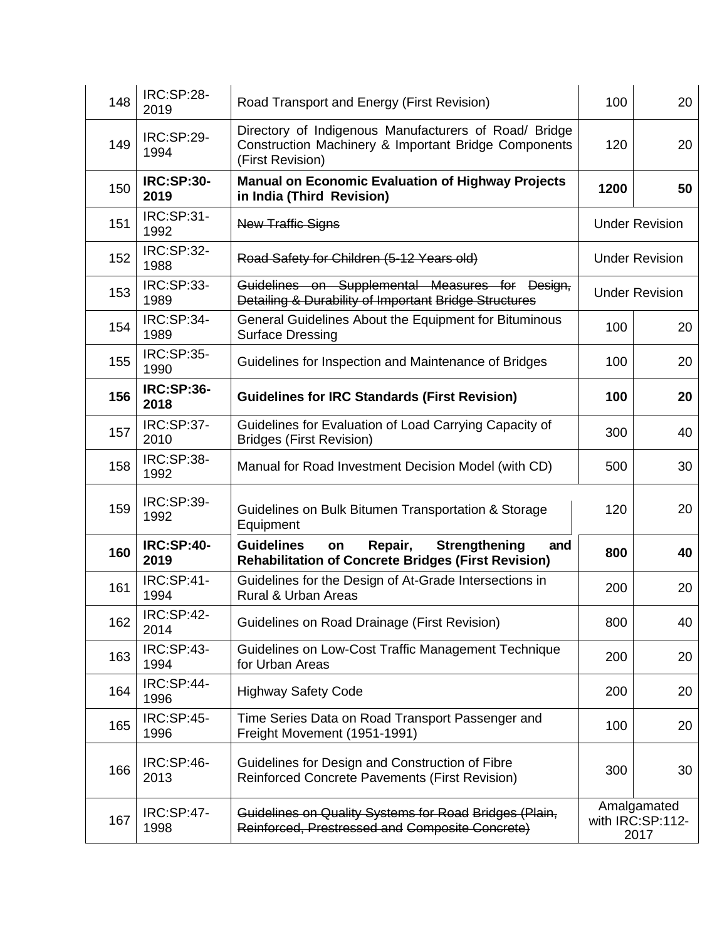| 148 | <b>IRC:SP:28-</b><br>2019 | Road Transport and Energy (First Revision)                                                                                        | 100  | 20                                      |
|-----|---------------------------|-----------------------------------------------------------------------------------------------------------------------------------|------|-----------------------------------------|
| 149 | <b>IRC:SP:29-</b><br>1994 | Directory of Indigenous Manufacturers of Road/ Bridge<br>Construction Machinery & Important Bridge Components<br>(First Revision) | 120  | 20                                      |
| 150 | <b>IRC:SP:30-</b><br>2019 | <b>Manual on Economic Evaluation of Highway Projects</b><br>in India (Third Revision)                                             | 1200 | 50                                      |
| 151 | IRC:SP:31-<br>1992        | <b>New Traffic Signs</b>                                                                                                          |      | <b>Under Revision</b>                   |
| 152 | IRC:SP:32-<br>1988        | Road Safety for Children (5-12 Years old)                                                                                         |      | <b>Under Revision</b>                   |
| 153 | <b>IRC:SP:33-</b><br>1989 | Guidelines on Supplemental Measures for Design,<br>Detailing & Durability of Important Bridge Structures                          |      | <b>Under Revision</b>                   |
| 154 | <b>IRC:SP:34-</b><br>1989 | General Guidelines About the Equipment for Bituminous<br><b>Surface Dressing</b>                                                  | 100  | 20                                      |
| 155 | <b>IRC:SP:35-</b><br>1990 | Guidelines for Inspection and Maintenance of Bridges                                                                              | 100  | 20                                      |
| 156 | <b>IRC:SP:36-</b><br>2018 | <b>Guidelines for IRC Standards (First Revision)</b>                                                                              | 100  | 20                                      |
| 157 | <b>IRC:SP:37-</b><br>2010 | Guidelines for Evaluation of Load Carrying Capacity of<br><b>Bridges (First Revision)</b>                                         | 300  | 40                                      |
| 158 | <b>IRC:SP:38-</b><br>1992 | Manual for Road Investment Decision Model (with CD)                                                                               | 500  | 30                                      |
| 159 | IRC:SP:39-<br>1992        | Guidelines on Bulk Bitumen Transportation & Storage<br>Equipment                                                                  | 120  | 20                                      |
| 160 | <b>IRC:SP:40-</b><br>2019 | <b>Guidelines</b><br><b>Strengthening</b><br>Repair,<br>on<br>and<br><b>Rehabilitation of Concrete Bridges (First Revision)</b>   | 800  | 40                                      |
| 161 | <b>IRC:SP:41-</b><br>1994 | Guidelines for the Design of At-Grade Intersections in<br>Rural & Urban Areas                                                     | 200  | 20                                      |
| 162 | <b>IRC:SP:42-</b><br>2014 | Guidelines on Road Drainage (First Revision)                                                                                      | 800  | 40                                      |
| 163 | <b>IRC:SP:43-</b><br>1994 | Guidelines on Low-Cost Traffic Management Technique<br>for Urban Areas                                                            | 200  | 20                                      |
| 164 | <b>IRC:SP:44-</b><br>1996 | <b>Highway Safety Code</b>                                                                                                        | 200  | 20                                      |
| 165 | <b>IRC:SP:45-</b><br>1996 | Time Series Data on Road Transport Passenger and<br>Freight Movement (1951-1991)                                                  | 100  | 20                                      |
| 166 | IRC:SP:46-<br>2013        | Guidelines for Design and Construction of Fibre<br><b>Reinforced Concrete Pavements (First Revision)</b>                          | 300  | 30                                      |
| 167 | <b>IRC:SP:47-</b><br>1998 | Guidelines on Quality Systems for Road Bridges (Plain,<br>Reinforced, Prestressed and Composite Concrete)                         |      | Amalgamated<br>with IRC:SP:112-<br>2017 |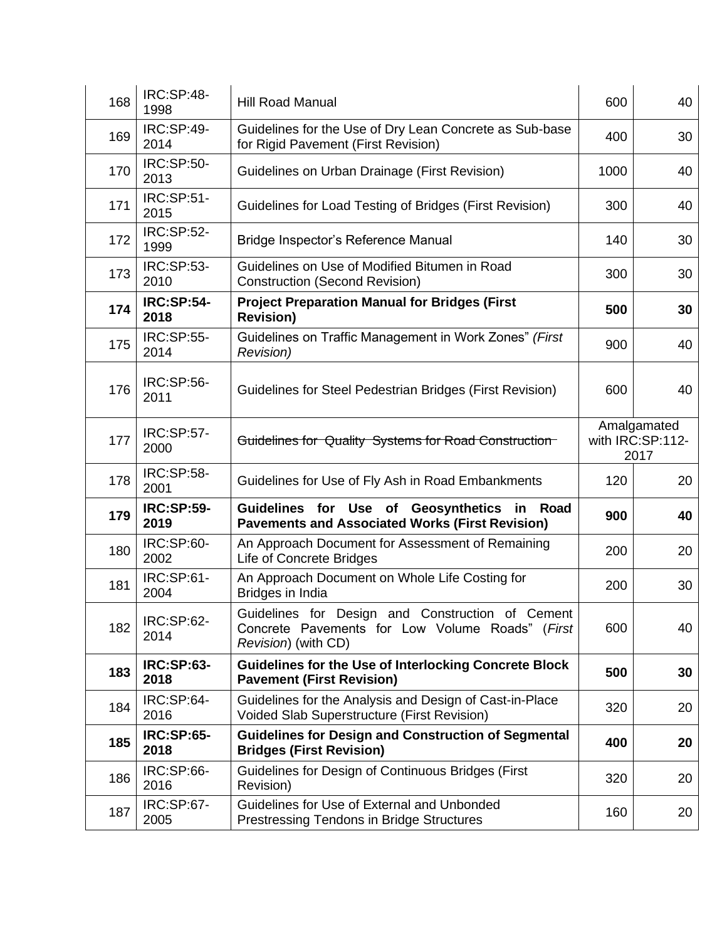| 168 | <b>IRC:SP:48-</b><br>1998 | <b>Hill Road Manual</b>                                                                                                    | 600  | 40                                      |
|-----|---------------------------|----------------------------------------------------------------------------------------------------------------------------|------|-----------------------------------------|
| 169 | <b>IRC:SP:49-</b><br>2014 | Guidelines for the Use of Dry Lean Concrete as Sub-base<br>for Rigid Pavement (First Revision)                             | 400  | 30                                      |
| 170 | <b>IRC:SP:50-</b><br>2013 | Guidelines on Urban Drainage (First Revision)                                                                              | 1000 | 40                                      |
| 171 | <b>IRC:SP:51-</b><br>2015 | Guidelines for Load Testing of Bridges (First Revision)                                                                    | 300  | 40                                      |
| 172 | <b>IRC:SP:52-</b><br>1999 | Bridge Inspector's Reference Manual                                                                                        | 140  | 30                                      |
| 173 | <b>IRC:SP:53-</b><br>2010 | Guidelines on Use of Modified Bitumen in Road<br><b>Construction (Second Revision)</b>                                     | 300  | 30                                      |
| 174 | <b>IRC:SP:54-</b><br>2018 | <b>Project Preparation Manual for Bridges (First</b><br><b>Revision)</b>                                                   | 500  | 30                                      |
| 175 | <b>IRC:SP:55-</b><br>2014 | Guidelines on Traffic Management in Work Zones" (First<br><b>Revision</b> )                                                | 900  | 40                                      |
| 176 | <b>IRC:SP:56-</b><br>2011 | Guidelines for Steel Pedestrian Bridges (First Revision)                                                                   | 600  | 40                                      |
| 177 | <b>IRC:SP:57-</b><br>2000 | Guidelines for Quality Systems for Road Construction                                                                       |      | Amalgamated<br>with IRC:SP:112-<br>2017 |
| 178 | <b>IRC:SP:58-</b><br>2001 | Guidelines for Use of Fly Ash in Road Embankments                                                                          | 120  | 20                                      |
| 179 | <b>IRC:SP:59-</b><br>2019 | <b>Guidelines</b><br>for<br>Use of Geosynthetics<br>in Road<br><b>Pavements and Associated Works (First Revision)</b>      | 900  | 40                                      |
| 180 | IRC:SP:60-<br>2002        | An Approach Document for Assessment of Remaining<br><b>Life of Concrete Bridges</b>                                        | 200  | 20                                      |
| 181 | IRC:SP:61-<br>2004        | An Approach Document on Whole Life Costing for<br>Bridges in India                                                         | 200  | 30                                      |
| 182 | IRC:SP:62-<br>2014        | Guidelines for Design and Construction of Cement<br>Concrete Pavements for Low Volume Roads" (First<br>Revision) (with CD) | 600  | 40                                      |
| 183 | <b>IRC:SP:63-</b><br>2018 | <b>Guidelines for the Use of Interlocking Concrete Block</b><br><b>Pavement (First Revision)</b>                           | 500  | 30                                      |
| 184 | IRC:SP:64-<br>2016        | Guidelines for the Analysis and Design of Cast-in-Place<br>Voided Slab Superstructure (First Revision)                     | 320  | 20                                      |
| 185 | <b>IRC:SP:65-</b><br>2018 | <b>Guidelines for Design and Construction of Segmental</b><br><b>Bridges (First Revision)</b>                              | 400  | 20                                      |
| 186 | IRC:SP:66-<br>2016        | Guidelines for Design of Continuous Bridges (First<br>Revision)                                                            | 320  | 20                                      |
| 187 | IRC:SP:67-<br>2005        | Guidelines for Use of External and Unbonded<br><b>Prestressing Tendons in Bridge Structures</b>                            | 160  | 20                                      |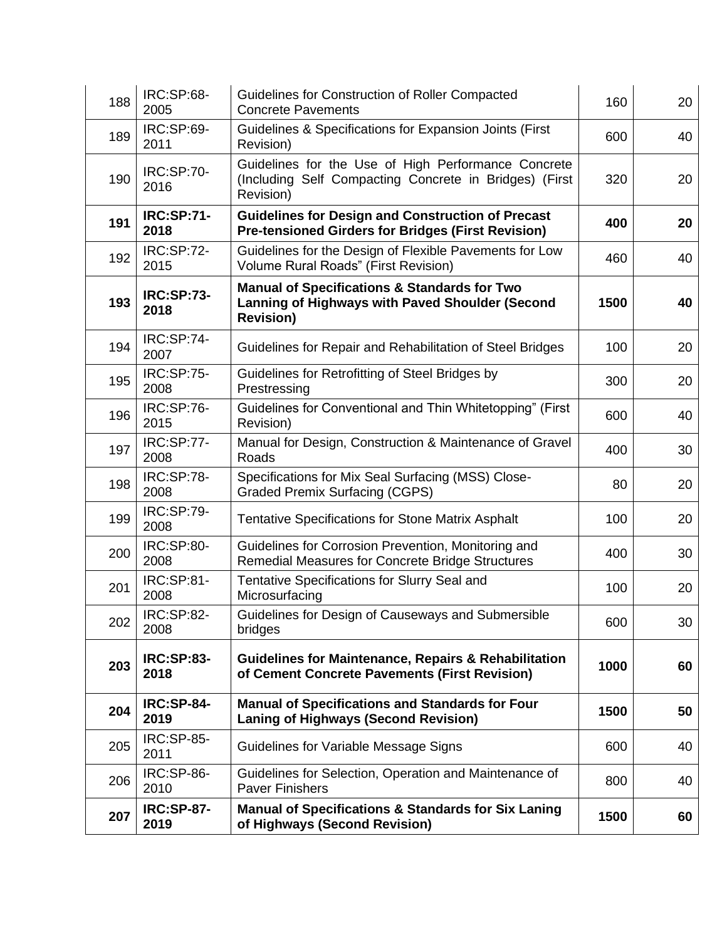| 188 | <b>IRC:SP:68-</b><br>2005 | Guidelines for Construction of Roller Compacted<br><b>Concrete Pavements</b>                                                   | 160  | 20 |
|-----|---------------------------|--------------------------------------------------------------------------------------------------------------------------------|------|----|
| 189 | IRC:SP:69-<br>2011        | Guidelines & Specifications for Expansion Joints (First<br>Revision)                                                           | 600  | 40 |
| 190 | <b>IRC:SP:70-</b><br>2016 | Guidelines for the Use of High Performance Concrete<br>(Including Self Compacting Concrete in Bridges) (First<br>Revision)     | 320  | 20 |
| 191 | <b>IRC:SP:71-</b><br>2018 | <b>Guidelines for Design and Construction of Precast</b><br><b>Pre-tensioned Girders for Bridges (First Revision)</b>          | 400  | 20 |
| 192 | <b>IRC:SP:72-</b><br>2015 | Guidelines for the Design of Flexible Pavements for Low<br>Volume Rural Roads" (First Revision)                                | 460  | 40 |
| 193 | <b>IRC:SP:73-</b><br>2018 | <b>Manual of Specifications &amp; Standards for Two</b><br>Lanning of Highways with Paved Shoulder (Second<br><b>Revision)</b> | 1500 | 40 |
| 194 | <b>IRC:SP:74-</b><br>2007 | Guidelines for Repair and Rehabilitation of Steel Bridges                                                                      | 100  | 20 |
| 195 | <b>IRC:SP:75-</b><br>2008 | Guidelines for Retrofitting of Steel Bridges by<br>Prestressing                                                                | 300  | 20 |
| 196 | <b>IRC:SP:76-</b><br>2015 | Guidelines for Conventional and Thin Whitetopping" (First<br>Revision)                                                         | 600  | 40 |
| 197 | <b>IRC:SP:77-</b><br>2008 | Manual for Design, Construction & Maintenance of Gravel<br>Roads                                                               | 400  | 30 |
| 198 | <b>IRC:SP:78-</b><br>2008 | Specifications for Mix Seal Surfacing (MSS) Close-<br><b>Graded Premix Surfacing (CGPS)</b>                                    | 80   | 20 |
| 199 | <b>IRC:SP:79-</b><br>2008 | <b>Tentative Specifications for Stone Matrix Asphalt</b>                                                                       | 100  | 20 |
| 200 | <b>IRC:SP:80-</b><br>2008 | Guidelines for Corrosion Prevention, Monitoring and<br>Remedial Measures for Concrete Bridge Structures                        | 400  | 30 |
| 201 | IRC:SP:81-<br>2008        | <b>Tentative Specifications for Slurry Seal and</b><br>Microsurfacing                                                          | 100  | 20 |
| 202 | <b>IRC:SP:82-</b><br>2008 | Guidelines for Design of Causeways and Submersible<br>bridges                                                                  | 600  | 30 |
| 203 | <b>IRC:SP:83-</b><br>2018 | <b>Guidelines for Maintenance, Repairs &amp; Rehabilitation</b><br>of Cement Concrete Pavements (First Revision)               | 1000 | 60 |
| 204 | <b>IRC:SP-84-</b><br>2019 | <b>Manual of Specifications and Standards for Four</b><br><b>Laning of Highways (Second Revision)</b>                          | 1500 | 50 |
| 205 | <b>IRC:SP-85-</b><br>2011 | Guidelines for Variable Message Signs                                                                                          | 600  | 40 |
| 206 | IRC:SP-86-<br>2010        | Guidelines for Selection, Operation and Maintenance of<br><b>Paver Finishers</b>                                               | 800  | 40 |
| 207 | <b>IRC:SP-87-</b><br>2019 | <b>Manual of Specifications &amp; Standards for Six Laning</b><br>of Highways (Second Revision)                                | 1500 | 60 |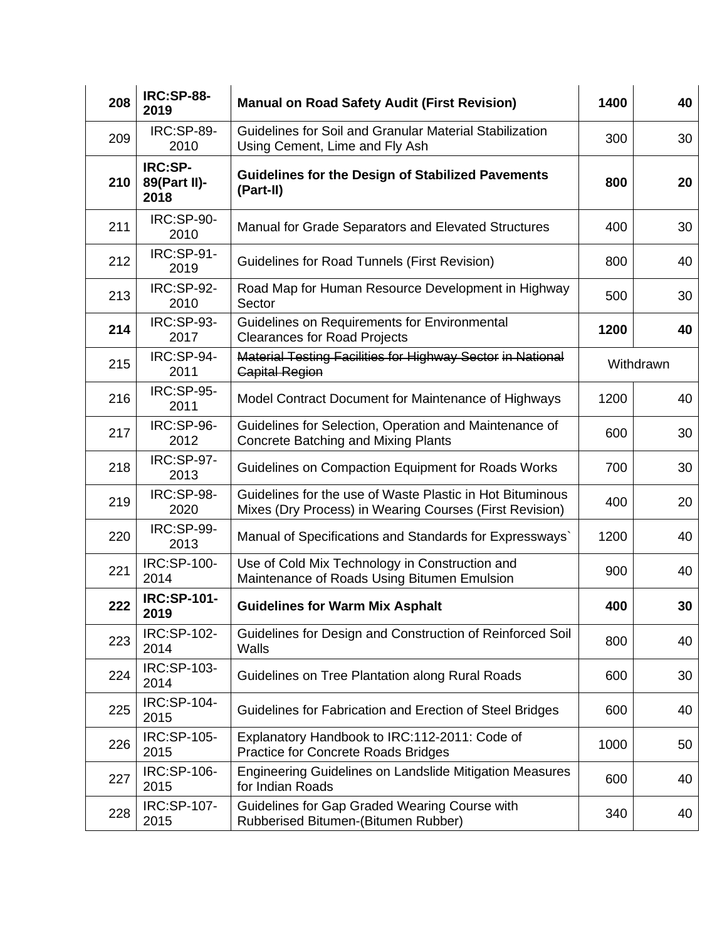| 208 | <b>IRC:SP-88-</b><br>2019              | <b>Manual on Road Safety Audit (First Revision)</b>                                                                  | 1400 | 40        |
|-----|----------------------------------------|----------------------------------------------------------------------------------------------------------------------|------|-----------|
| 209 | <b>IRC:SP-89-</b><br>2010              | Guidelines for Soil and Granular Material Stabilization<br>Using Cement, Lime and Fly Ash                            | 300  | 30        |
| 210 | <b>IRC:SP-</b><br>89(Part II)-<br>2018 | <b>Guidelines for the Design of Stabilized Pavements</b><br>(Part-II)                                                | 800  | 20        |
| 211 | <b>IRC:SP-90-</b><br>2010              | Manual for Grade Separators and Elevated Structures                                                                  | 400  | 30        |
| 212 | <b>IRC:SP-91-</b><br>2019              | <b>Guidelines for Road Tunnels (First Revision)</b>                                                                  | 800  | 40        |
| 213 | <b>IRC:SP-92-</b><br>2010              | Road Map for Human Resource Development in Highway<br>Sector                                                         | 500  | 30        |
| 214 | <b>IRC:SP-93-</b><br>2017              | Guidelines on Requirements for Environmental<br><b>Clearances for Road Projects</b>                                  | 1200 | 40        |
| 215 | IRC:SP-94-<br>2011                     | Material Testing Facilities for Highway Sector in National<br><b>Capital Region</b>                                  |      | Withdrawn |
| 216 | <b>IRC:SP-95-</b><br>2011              | Model Contract Document for Maintenance of Highways                                                                  | 1200 | 40        |
| 217 | IRC:SP-96-<br>2012                     | Guidelines for Selection, Operation and Maintenance of<br><b>Concrete Batching and Mixing Plants</b>                 | 600  | 30        |
| 218 | <b>IRC:SP-97-</b><br>2013              | Guidelines on Compaction Equipment for Roads Works                                                                   | 700  | 30        |
| 219 | IRC:SP-98-<br>2020                     | Guidelines for the use of Waste Plastic in Hot Bituminous<br>Mixes (Dry Process) in Wearing Courses (First Revision) | 400  | 20        |
| 220 | <b>IRC:SP-99-</b><br>2013              | Manual of Specifications and Standards for Expressways`                                                              | 1200 | 40        |
| 221 | IRC:SP-100-<br>2014                    | Use of Cold Mix Technology in Construction and<br>Maintenance of Roads Using Bitumen Emulsion                        | 900  | 40        |
| 222 | <b>IRC:SP-101-</b><br>2019             | <b>Guidelines for Warm Mix Asphalt</b>                                                                               | 400  | 30        |
| 223 | IRC:SP-102-<br>2014                    | Guidelines for Design and Construction of Reinforced Soil<br>Walls                                                   | 800  | 40        |
| 224 | IRC:SP-103-<br>2014                    | Guidelines on Tree Plantation along Rural Roads                                                                      | 600  | 30        |
| 225 | IRC:SP-104-<br>2015                    | Guidelines for Fabrication and Erection of Steel Bridges                                                             | 600  | 40        |
| 226 | IRC:SP-105-<br>2015                    | Explanatory Handbook to IRC:112-2011: Code of<br><b>Practice for Concrete Roads Bridges</b>                          | 1000 | 50        |
| 227 | IRC:SP-106-<br>2015                    | <b>Engineering Guidelines on Landslide Mitigation Measures</b><br>for Indian Roads                                   | 600  | 40        |
| 228 | IRC:SP-107-<br>2015                    | Guidelines for Gap Graded Wearing Course with<br>Rubberised Bitumen-(Bitumen Rubber)                                 | 340  | 40        |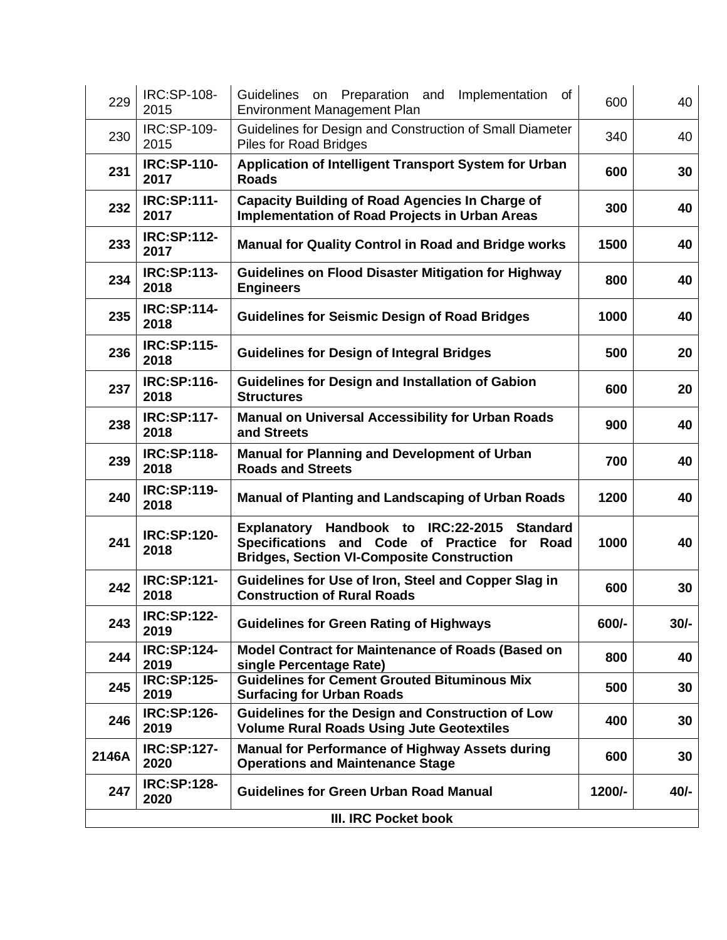| 229                  | IRC:SP-108-<br>2015        | Guidelines on Preparation and<br>of<br>Implementation<br><b>Environment Management Plan</b>                                                                    | 600    | 40     |
|----------------------|----------------------------|----------------------------------------------------------------------------------------------------------------------------------------------------------------|--------|--------|
| 230                  | IRC:SP-109-<br>2015        | Guidelines for Design and Construction of Small Diameter<br><b>Piles for Road Bridges</b>                                                                      | 340    | 40     |
| 231                  | <b>IRC:SP-110-</b><br>2017 | Application of Intelligent Transport System for Urban<br><b>Roads</b>                                                                                          | 600    | 30     |
| 232                  | <b>IRC:SP:111-</b><br>2017 | <b>Capacity Building of Road Agencies In Charge of</b><br><b>Implementation of Road Projects in Urban Areas</b>                                                | 300    | 40     |
| 233                  | <b>IRC:SP:112-</b><br>2017 | <b>Manual for Quality Control in Road and Bridge works</b>                                                                                                     | 1500   | 40     |
| 234                  | <b>IRC:SP:113-</b><br>2018 | <b>Guidelines on Flood Disaster Mitigation for Highway</b><br><b>Engineers</b>                                                                                 | 800    | 40     |
| 235                  | <b>IRC:SP:114-</b><br>2018 | <b>Guidelines for Seismic Design of Road Bridges</b>                                                                                                           | 1000   | 40     |
| 236                  | <b>IRC:SP:115-</b><br>2018 | <b>Guidelines for Design of Integral Bridges</b>                                                                                                               | 500    | 20     |
| 237                  | <b>IRC:SP:116-</b><br>2018 | <b>Guidelines for Design and Installation of Gabion</b><br><b>Structures</b>                                                                                   | 600    | 20     |
| 238                  | <b>IRC:SP:117-</b><br>2018 | <b>Manual on Universal Accessibility for Urban Roads</b><br>and Streets                                                                                        | 900    | 40     |
| 239                  | <b>IRC:SP:118-</b><br>2018 | <b>Manual for Planning and Development of Urban</b><br><b>Roads and Streets</b>                                                                                | 700    | 40     |
| 240                  | <b>IRC:SP:119-</b><br>2018 | <b>Manual of Planting and Landscaping of Urban Roads</b>                                                                                                       | 1200   | 40     |
| 241                  | <b>IRC:SP:120-</b><br>2018 | Explanatory Handbook to IRC:22-2015<br><b>Standard</b><br>Specifications and Code of Practice for<br>Road<br><b>Bridges, Section VI-Composite Construction</b> | 1000   | 40     |
| 242                  | <b>IRC:SP:121-</b><br>2018 | Guidelines for Use of Iron, Steel and Copper Slag in<br><b>Construction of Rural Roads</b>                                                                     | 600    | 30     |
| 243                  | <b>IRC:SP:122-</b><br>2019 | <b>Guidelines for Green Rating of Highways</b>                                                                                                                 | 600/-  | $30/-$ |
| 244                  | <b>IRC:SP:124-</b><br>2019 | Model Contract for Maintenance of Roads (Based on<br>single Percentage Rate)                                                                                   | 800    | 40     |
| 245                  | <b>IRC:SP:125-</b><br>2019 | <b>Guidelines for Cement Grouted Bituminous Mix</b><br><b>Surfacing for Urban Roads</b>                                                                        | 500    | 30     |
| 246                  | <b>IRC:SP:126-</b><br>2019 | Guidelines for the Design and Construction of Low<br><b>Volume Rural Roads Using Jute Geotextiles</b>                                                          | 400    | 30     |
| 2146A                | <b>IRC:SP:127-</b><br>2020 | <b>Manual for Performance of Highway Assets during</b><br><b>Operations and Maintenance Stage</b>                                                              | 600    | 30     |
| 247                  | <b>IRC:SP:128-</b><br>2020 | <b>Guidelines for Green Urban Road Manual</b>                                                                                                                  | 1200/- | $40/-$ |
| III. IRC Pocket book |                            |                                                                                                                                                                |        |        |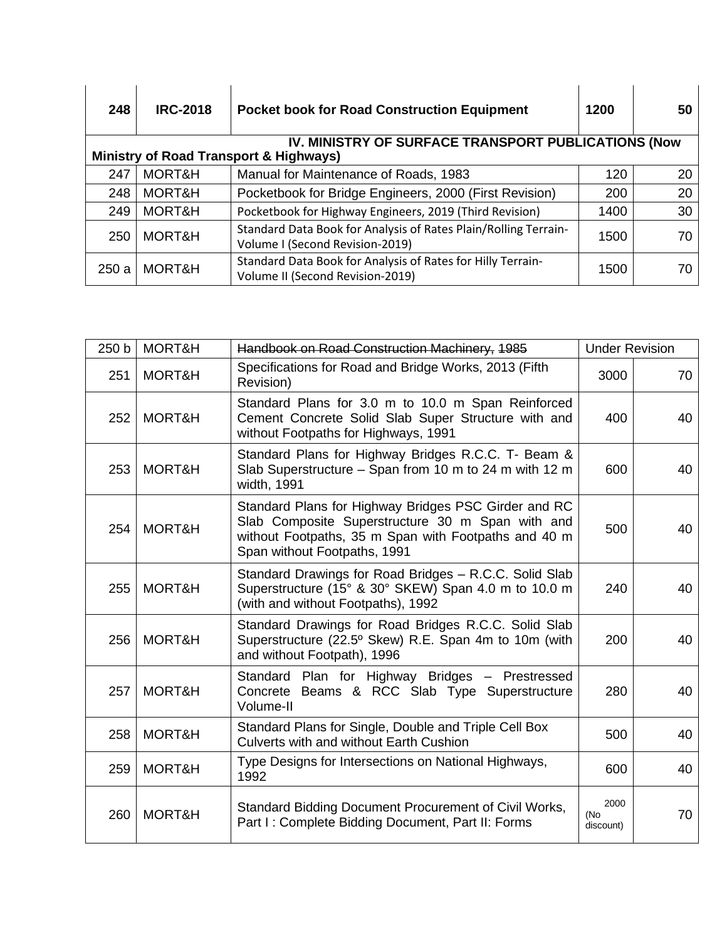| 248  | <b>IRC-2018</b>                                                                                          | <b>Pocket book for Road Construction Equipment</b>                                                 | 1200 | 50 |  |  |  |
|------|----------------------------------------------------------------------------------------------------------|----------------------------------------------------------------------------------------------------|------|----|--|--|--|
|      | IV. MINISTRY OF SURFACE TRANSPORT PUBLICATIONS (Now<br><b>Ministry of Road Transport &amp; Highways)</b> |                                                                                                    |      |    |  |  |  |
| 247  | MORT&H                                                                                                   | Manual for Maintenance of Roads, 1983                                                              | 120  | 20 |  |  |  |
| 248  | MORT&H                                                                                                   | Pocketbook for Bridge Engineers, 2000 (First Revision)                                             | 200  | 20 |  |  |  |
| 249  | MORT&H                                                                                                   | Pocketbook for Highway Engineers, 2019 (Third Revision)                                            | 1400 | 30 |  |  |  |
| 250  | MORT&H                                                                                                   | Standard Data Book for Analysis of Rates Plain/Rolling Terrain-<br>Volume I (Second Revision-2019) | 1500 | 70 |  |  |  |
| 250a | MORT&H                                                                                                   | Standard Data Book for Analysis of Rates for Hilly Terrain-<br>Volume II (Second Revision-2019)    | 1500 | 70 |  |  |  |

| 250 b | MORT&H | Handbook on Road Construction Machinery, 1985                                                                                                                                                    | <b>Under Revision</b>    |    |
|-------|--------|--------------------------------------------------------------------------------------------------------------------------------------------------------------------------------------------------|--------------------------|----|
| 251   | MORT&H | Specifications for Road and Bridge Works, 2013 (Fifth<br>Revision)                                                                                                                               | 3000                     | 70 |
| 252   | MORT&H | Standard Plans for 3.0 m to 10.0 m Span Reinforced<br>Cement Concrete Solid Slab Super Structure with and<br>without Footpaths for Highways, 1991                                                | 400                      | 40 |
| 253   | MORT&H | Standard Plans for Highway Bridges R.C.C. T- Beam &<br>Slab Superstructure - Span from 10 m to 24 m with 12 m<br>width, 1991                                                                     | 600                      | 40 |
| 254   | MORT&H | Standard Plans for Highway Bridges PSC Girder and RC<br>Slab Composite Superstructure 30 m Span with and<br>without Footpaths, 35 m Span with Footpaths and 40 m<br>Span without Footpaths, 1991 | 500                      | 40 |
| 255   | MORT&H | Standard Drawings for Road Bridges - R.C.C. Solid Slab<br>Superstructure (15° & 30° SKEW) Span 4.0 m to 10.0 m<br>(with and without Footpaths), 1992                                             | 240                      | 40 |
| 256   | MORT&H | Standard Drawings for Road Bridges R.C.C. Solid Slab<br>Superstructure (22.5° Skew) R.E. Span 4m to 10m (with<br>and without Footpath), 1996                                                     | 200                      | 40 |
| 257   | MORT&H | Standard Plan for Highway Bridges - Prestressed<br>Concrete Beams & RCC Slab Type Superstructure<br>Volume-II                                                                                    | 280                      | 40 |
| 258   | MORT&H | Standard Plans for Single, Double and Triple Cell Box<br><b>Culverts with and without Earth Cushion</b>                                                                                          | 500                      | 40 |
| 259   | MORT&H | Type Designs for Intersections on National Highways,<br>1992                                                                                                                                     | 600                      | 40 |
| 260   | MORT&H | Standard Bidding Document Procurement of Civil Works,<br>Part I: Complete Bidding Document, Part II: Forms                                                                                       | 2000<br>(No<br>discount) | 70 |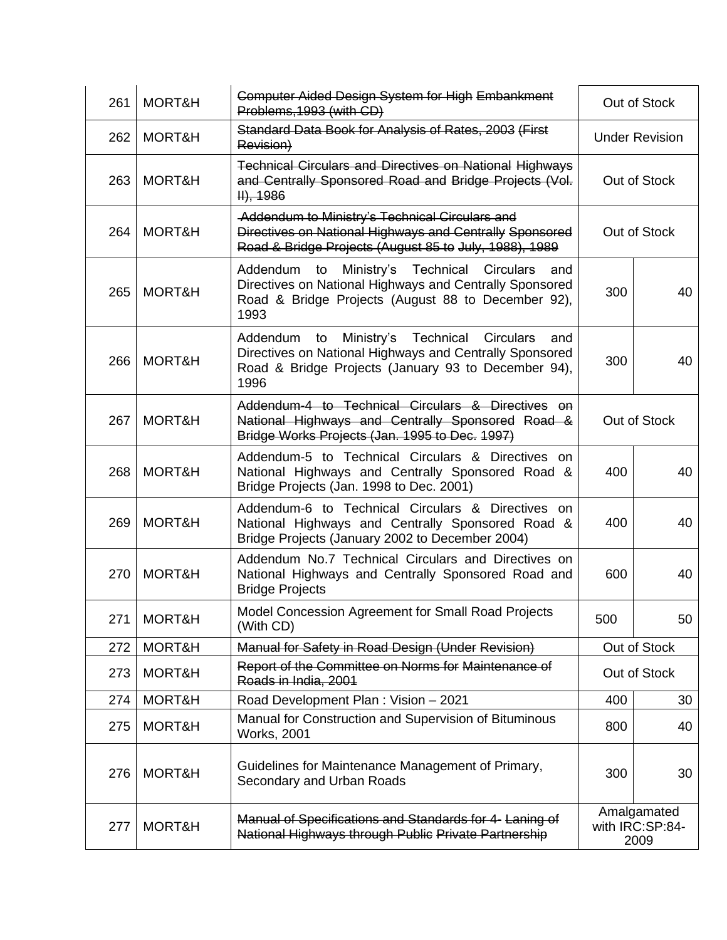| 261 | MORT&H | <b>Computer Aided Design System for High Embankment</b><br>Problems, 1993 (with CD)                                                                                                            | Out of Stock                           |    |
|-----|--------|------------------------------------------------------------------------------------------------------------------------------------------------------------------------------------------------|----------------------------------------|----|
| 262 | MORT&H | Standard Data Book for Analysis of Rates, 2003 (First<br>Revision)                                                                                                                             | <b>Under Revision</b>                  |    |
| 263 | MORT&H | <b>Technical Circulars and Directives on National Highways</b><br>and Centrally Sponsored Road and Bridge Projects (Vol.<br>$H$ , 1986                                                         | Out of Stock                           |    |
| 264 | MORT&H | Addendum to Ministry's Technical Circulars and<br>Directives on National Highways and Centrally Sponsored<br>Road & Bridge Projects (August 85 to July, 1988), 1989                            | Out of Stock                           |    |
| 265 | MORT&H | Addendum to Ministry's Technical Circulars<br>and<br>Directives on National Highways and Centrally Sponsored<br>Road & Bridge Projects (August 88 to December 92),<br>1993                     | 300                                    | 40 |
| 266 | MORT&H | Addendum<br>Ministry's<br>Technical<br><b>Circulars</b><br>to<br>and<br>Directives on National Highways and Centrally Sponsored<br>Road & Bridge Projects (January 93 to December 94),<br>1996 | 300                                    | 40 |
| 267 | MORT&H | Addendum-4 to Technical Circulars & Directives on<br>National Highways and Centrally Sponsored Road &<br>Bridge Works Projects (Jan. 1995 to Dec. 1997)                                        | Out of Stock                           |    |
| 268 | MORT&H | Addendum-5 to Technical Circulars & Directives on<br>National Highways and Centrally Sponsored Road &<br>Bridge Projects (Jan. 1998 to Dec. 2001)                                              | 400                                    | 40 |
| 269 | MORT&H | Addendum-6 to Technical Circulars & Directives on<br>National Highways and Centrally Sponsored Road &<br>Bridge Projects (January 2002 to December 2004)                                       | 400                                    | 40 |
| 270 | MORT&H | Addendum No.7 Technical Circulars and Directives on<br>National Highways and Centrally Sponsored Road and<br><b>Bridge Projects</b>                                                            | 600                                    | 40 |
| 271 | MORT&H | Model Concession Agreement for Small Road Projects<br>(With CD)                                                                                                                                | 500                                    | 50 |
| 272 | MORT&H | Manual for Safety in Road Design (Under Revision)                                                                                                                                              | Out of Stock                           |    |
| 273 | MORT&H | Report of the Committee on Norms for Maintenance of<br>Roads in India, 2001                                                                                                                    | Out of Stock                           |    |
| 274 | MORT&H | Road Development Plan: Vision - 2021                                                                                                                                                           | 400                                    | 30 |
| 275 | MORT&H | Manual for Construction and Supervision of Bituminous<br><b>Works, 2001</b>                                                                                                                    | 800                                    | 40 |
| 276 | MORT&H | Guidelines for Maintenance Management of Primary,<br>Secondary and Urban Roads                                                                                                                 | 300                                    | 30 |
| 277 | MORT&H | Manual of Specifications and Standards for 4- Laning of<br>National Highways through Public Private Partnership                                                                                | Amalgamated<br>with IRC:SP:84-<br>2009 |    |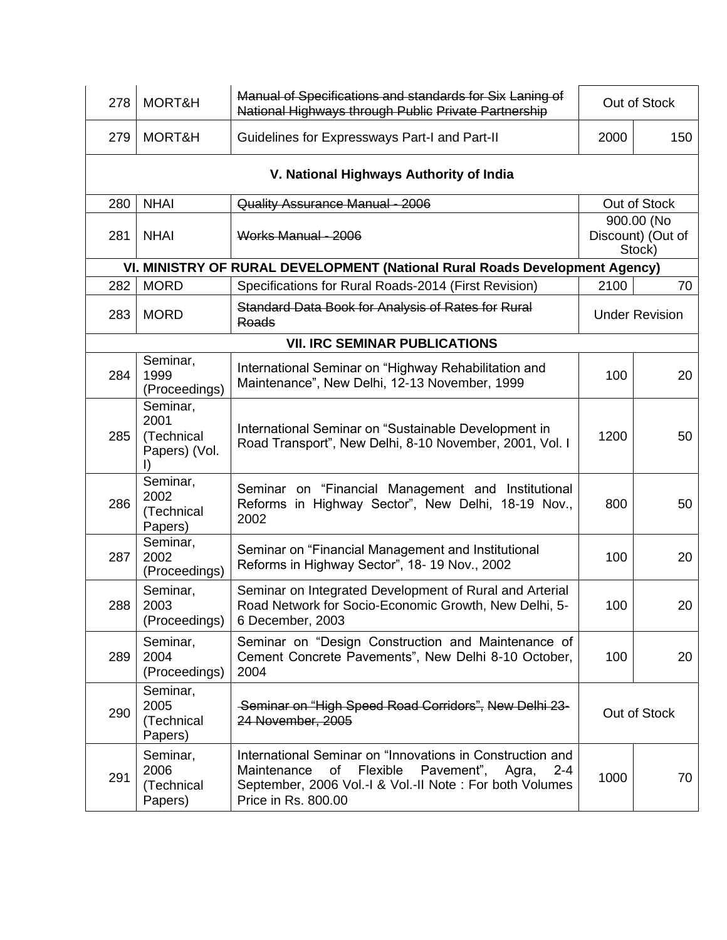| 278 | MORT&H                                          | Manual of Specifications and standards for Six Laning of<br>National Highways through Public Private Partnership                                                                                               | Out of Stock                              |                       |  |  |  |
|-----|-------------------------------------------------|----------------------------------------------------------------------------------------------------------------------------------------------------------------------------------------------------------------|-------------------------------------------|-----------------------|--|--|--|
| 279 | MORT&H                                          | Guidelines for Expressways Part-I and Part-II                                                                                                                                                                  | 2000                                      | 150                   |  |  |  |
|     | V. National Highways Authority of India         |                                                                                                                                                                                                                |                                           |                       |  |  |  |
| 280 | <b>NHAI</b>                                     | Quality Assurance Manual - 2006                                                                                                                                                                                |                                           | Out of Stock          |  |  |  |
| 281 | <b>NHAI</b>                                     | Works Manual - 2006                                                                                                                                                                                            | 900.00 (No<br>Discount) (Out of<br>Stock) |                       |  |  |  |
|     |                                                 | VI. MINISTRY OF RURAL DEVELOPMENT (National Rural Roads Development Agency)                                                                                                                                    |                                           |                       |  |  |  |
| 282 | <b>MORD</b>                                     | Specifications for Rural Roads-2014 (First Revision)                                                                                                                                                           | 2100                                      | 70                    |  |  |  |
| 283 | <b>MORD</b>                                     | Standard Data Book for Analysis of Rates for Rural<br>Roads                                                                                                                                                    |                                           | <b>Under Revision</b> |  |  |  |
|     |                                                 | <b>VII. IRC SEMINAR PUBLICATIONS</b>                                                                                                                                                                           |                                           |                       |  |  |  |
| 284 | Seminar,<br>1999<br>(Proceedings)               | International Seminar on "Highway Rehabilitation and<br>Maintenance", New Delhi, 12-13 November, 1999                                                                                                          | 100                                       | 20                    |  |  |  |
| 285 | Seminar,<br>2001<br>(Technical<br>Papers) (Vol. | International Seminar on "Sustainable Development in<br>Road Transport", New Delhi, 8-10 November, 2001, Vol. I                                                                                                | 1200                                      | 50                    |  |  |  |
| 286 | Seminar,<br>2002<br>(Technical<br>Papers)       | Seminar on "Financial Management and Institutional<br>Reforms in Highway Sector", New Delhi, 18-19 Nov.,<br>2002                                                                                               | 800                                       | 50                    |  |  |  |
| 287 | Seminar,<br>2002<br>(Proceedings)               | Seminar on "Financial Management and Institutional<br>Reforms in Highway Sector", 18-19 Nov., 2002                                                                                                             | 100                                       | 20                    |  |  |  |
| 288 | Seminar,<br>2003<br>(Proceedings)               | Seminar on Integrated Development of Rural and Arterial<br>Road Network for Socio-Economic Growth, New Delhi, 5-<br>6 December, 2003                                                                           | 100                                       | 20                    |  |  |  |
| 289 | Seminar,<br>2004<br>(Proceedings)               | Seminar on "Design Construction and Maintenance of<br>Cement Concrete Pavements", New Delhi 8-10 October,<br>2004                                                                                              | 100                                       | 20                    |  |  |  |
| 290 | Seminar,<br>2005<br>(Technical<br>Papers)       | -Seminar on "High Speed Road Corridors", New Delhi 23-<br>24 November, 2005                                                                                                                                    | Out of Stock                              |                       |  |  |  |
| 291 | Seminar,<br>2006<br>(Technical<br>Papers)       | International Seminar on "Innovations in Construction and<br>Flexible<br>Pavement",<br>Maintenance<br>of<br>Agra,<br>$2 - 4$<br>September, 2006 Vol.-I & Vol.-II Note: For both Volumes<br>Price in Rs. 800.00 | 1000                                      | 70                    |  |  |  |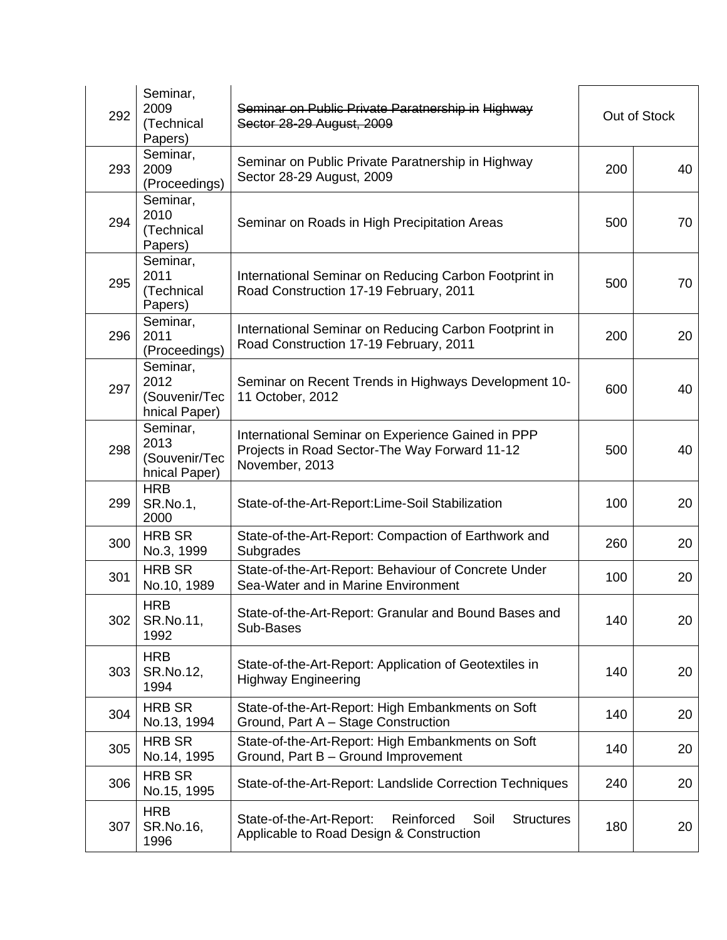| 292 | Seminar,<br>2009<br>(Technical<br>Papers)          | Seminar on Public Private Paratnership in Highway<br>Sector 28-29 August, 2009                                       | Out of Stock |    |
|-----|----------------------------------------------------|----------------------------------------------------------------------------------------------------------------------|--------------|----|
| 293 | Seminar,<br>2009<br>(Proceedings)                  | Seminar on Public Private Paratnership in Highway<br>Sector 28-29 August, 2009                                       | 200          | 40 |
| 294 | Seminar,<br>2010<br>(Technical<br>Papers)          | Seminar on Roads in High Precipitation Areas                                                                         | 500          | 70 |
| 295 | Seminar,<br>2011<br>(Technical<br>Papers)          | International Seminar on Reducing Carbon Footprint in<br>Road Construction 17-19 February, 2011                      | 500          | 70 |
| 296 | Seminar,<br>2011<br>(Proceedings)                  | International Seminar on Reducing Carbon Footprint in<br>Road Construction 17-19 February, 2011                      | 200          | 20 |
| 297 | Seminar,<br>2012<br>(Souvenir/Tec<br>hnical Paper) | Seminar on Recent Trends in Highways Development 10-<br>11 October, 2012                                             | 600          | 40 |
| 298 | Seminar,<br>2013<br>(Souvenir/Tec<br>hnical Paper) | International Seminar on Experience Gained in PPP<br>Projects in Road Sector-The Way Forward 11-12<br>November, 2013 | 500          | 40 |
| 299 | <b>HRB</b><br>SR.No.1,<br>2000                     | State-of-the-Art-Report:Lime-Soil Stabilization                                                                      | 100          | 20 |
| 300 | <b>HRB SR</b><br>No.3, 1999                        | State-of-the-Art-Report: Compaction of Earthwork and<br>Subgrades                                                    | 260          | 20 |
| 301 | <b>HRB SR</b><br>No.10, 1989                       | State-of-the-Art-Report: Behaviour of Concrete Under<br>Sea-Water and in Marine Environment                          | 100          | 20 |
| 302 | <b>HRB</b><br>SR.No.11,<br>1992                    | State-of-the-Art-Report: Granular and Bound Bases and<br>Sub-Bases                                                   | 140          | 20 |
| 303 | <b>HRB</b><br>SR.No.12,<br>1994                    | State-of-the-Art-Report: Application of Geotextiles in<br><b>Highway Engineering</b>                                 | 140          | 20 |
| 304 | <b>HRB SR</b><br>No.13, 1994                       | State-of-the-Art-Report: High Embankments on Soft<br>Ground, Part A - Stage Construction                             | 140          | 20 |
| 305 | <b>HRB SR</b><br>No.14, 1995                       | State-of-the-Art-Report: High Embankments on Soft<br>Ground, Part B - Ground Improvement                             | 140          | 20 |
| 306 | <b>HRB SR</b><br>No.15, 1995                       | State-of-the-Art-Report: Landslide Correction Techniques                                                             | 240          | 20 |
| 307 | <b>HRB</b><br>SR.No.16,<br>1996                    | State-of-the-Art-Report:<br>Soil<br>Reinforced<br><b>Structures</b><br>Applicable to Road Design & Construction      | 180          | 20 |